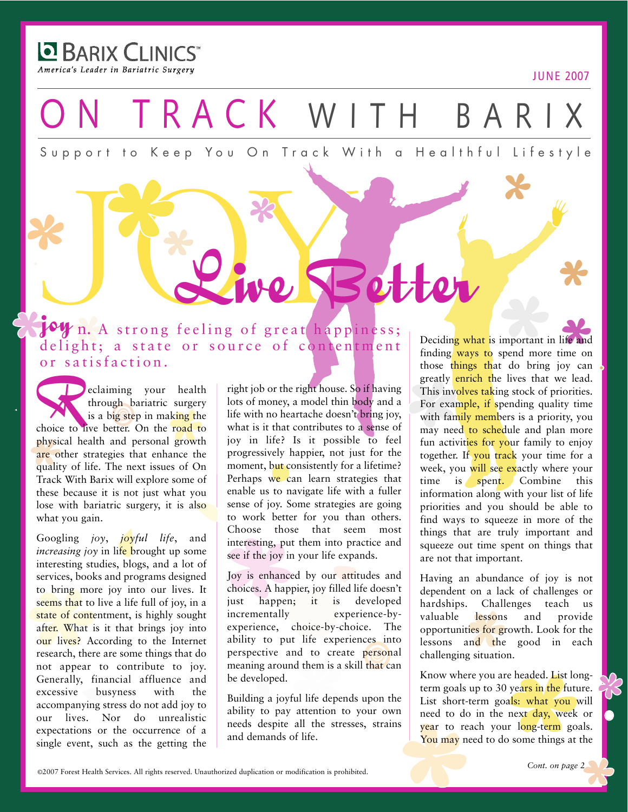**BARIX CLINICS** America's Leader in Bariatric Surgery

JUNE 2007

TRACK WITH BAR

Support to Keep You On Track With a Healthful Lifestyle RED TO BE THE RED OF THE WINDOW OF THE RED OF

Live Better

#### joy n. A strong feeling of great happiness; delight; a state or source of contentment or satisfaction.

eclaiming your health<br>through bariatric surgery<br>is a big step in making the<br>choice to live better. On the road to through bariatric surgery is a big step in making the physical health and personal growth are other strategies that enhance the quality of life. The next issues of On Track With Barix will explore some of these because it is not just what you lose with bariatric surgery, it is also what you gain.

Googling *joy*, *joyful life*, and *increasing joy* in life brought up some interesting studies, blogs, and a lot of services, books and programs designed to bring more joy into our lives. It seems that to live a life full of joy, in a state of contentment, is highly sought after. What is it that brings joy into our lives? According to the Internet research, there are some things that do not appear to contribute to joy. Generally, financial affluence and excessive busyness with the accompanying stress do not add joy to our lives. Nor do unrealistic expectations or the occurrence of a single event, such as the getting the right job or the right house. So if having lots of money, a model thin body and a life with no heartache doesn't bring joy, what is it that contributes to a sense of joy in life? Is it possible to feel progressively happier, not just for the moment, but consistently for a lifetime? Perhaps we can learn strategies that enable us to navigate life with a fuller sense of joy. Some strategies are going to work better for you than others. Choose those that seem most interesting, put them into practice and see if the joy in your life expands.

Joy is enhanced by our attitudes and choices. A happier, joy filled life doesn't just happen; it is developed incrementally experience-byexperience, choice-by-choice. The ability to put life experiences into perspective and to create personal meaning around them is a skill that can be developed.

Building a joyful life depends upon the ability to pay attention to your own needs despite all the stresses, strains and demands of life.

Deciding what is important in life and finding ways to spend more time on those things that do bring joy can greatly enrich the lives that we lead. This involves taking stock of priorities. For example, if spending quality time with family members is a priority, you may need to schedule and plan more fun activities for your family to enjoy together. If you track your time for a week, you will see exactly where your time is spent. Combine this information along with your list of life priorities and you should be able to find ways to squeeze in more of the things that are truly important and squeeze out time spent on things that are not that important.

Having an abundance of joy is not dependent on a lack of challenges or hardships. Challenges teach us valuable lessons and provide opportunities for growth. Look for the lessons and the good in each challenging situation.

Know where you are headed. List longterm goals up to 30 years in the future. List short-term goals: what you will need to do in the next day, week or year to reach your long-term goals. You may need to do some things at the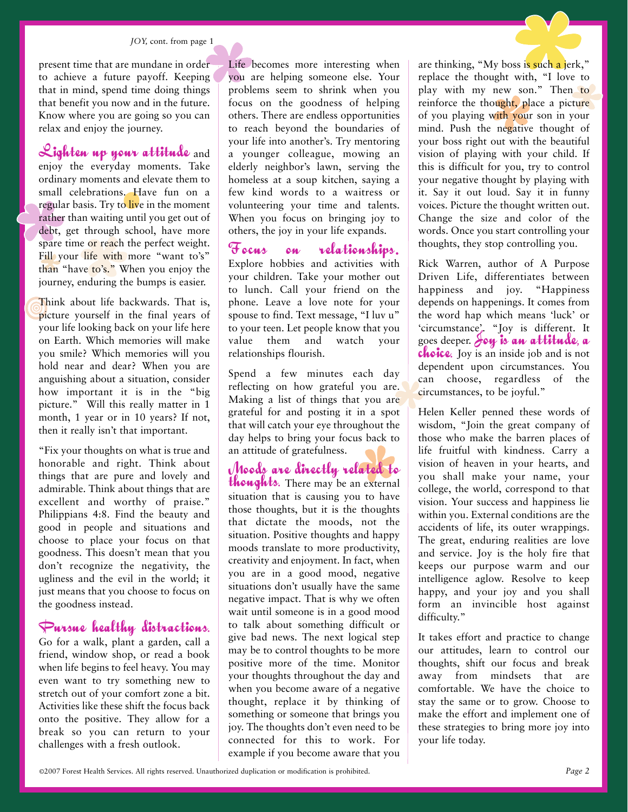#### *JOY,* cont. from page 1

present time that are mundane in order to achieve a future payoff. Keeping that in mind, spend time doing things that benefit you now and in the future. Know where you are going so you can relax and enjoy the journey.

Lighten up your attitude and

enjoy the everyday moments. Take ordinary moments and elevate them to small celebrations. Have fun on a regular basis. Try to live in the moment rather than waiting until you get out of debt, get through school, have more spare time or reach the perfect weight. Fill your life with more "want to's" than "have to's." When you enjoy the journey, enduring the bumps is easier.

Think about life backwards. That is, picture yourself in the final years of your life looking back on your life here on Earth. Which memories will make you smile? Which memories will you hold near and dear? When you are anguishing about a situation, consider how important it is in the "big picture." Will this really matter in 1 month, 1 year or in 10 years? If not, then it really isn't that important.

"Fix your thoughts on what is true and honorable and right. Think about things that are pure and lovely and admirable. Think about things that are excellent and worthy of praise." Philippians 4:8. Find the beauty and good in people and situations and choose to place your focus on that goodness. This doesn't mean that you don't recognize the negativity, the ugliness and the evil in the world; it just means that you choose to focus on the goodness instead.

#### Pursue healthy distractions.

Go for a walk, plant a garden, call a friend, window shop, or read a book when life begins to feel heavy. You may even want to try something new to stretch out of your comfort zone a bit. Activities like these shift the focus back onto the positive. They allow for a break so you can return to your challenges with a fresh outlook.

Life becomes more interesting when you are helping someone else. Your problems seem to shrink when you focus on the goodness of helping others. There are endless opportunities to reach beyond the boundaries of your life into another's. Try mentoring a younger colleague, mowing an elderly neighbor's lawn, serving the homeless at a soup kitchen, saying a few kind words to a waitress or volunteering your time and talents. When you focus on bringing joy to others, the joy in your life expands.

Focus on relationships. Explore hobbies and activities with your children. Take your mother out to lunch. Call your friend on the phone. Leave a love note for your spouse to find. Text message, "I luv u" to your teen. Let people know that you value them and watch your relationships flourish.

Spend a few minutes each day reflecting on how grateful you are. Making a list of things that you are grateful for and posting it in a spot that will catch your eye throughout the day helps to bring your focus back to an attitude of gratefulness.

Moods are directly related to thoughts. There may be an external situation that is causing you to have those thoughts, but it is the thoughts that dictate the moods, not the situation. Positive thoughts and happy moods translate to more productivity, creativity and enjoyment. In fact, when you are in a good mood, negative situations don't usually have the same negative impact. That is why we often wait until someone is in a good mood to talk about something difficult or give bad news. The next logical step may be to control thoughts to be more positive more of the time. Monitor your thoughts throughout the day and when you become aware of a negative thought, replace it by thinking of something or someone that brings you joy. The thoughts don't even need to be connected for this to work. For example if you become aware that you are thinking, "My boss is such a jerk," replace the thought with, "I love to play with my new son." Then to reinforce the thought, place a picture of you playing with your son in your mind. Push the negative thought of your boss right out with the beautiful vision of playing with your child. If this is difficult for you, try to control your negative thought by playing with it. Say it out loud. Say it in funny voices. Picture the thought written out. Change the size and color of the words. Once you start controlling your thoughts, they stop controlling you.

Rick Warren, author of A Purpose Driven Life, differentiates between happiness and joy. "Happiness depends on happenings. It comes from the word hap which means 'luck' or 'circumstance'. "Joy is different. It goes deeper. Joy is an attitude, a<br>choice. Joy is an inside job and is not dependent upon circumstances. You can choose, regardless of the circumstances, to be joyful."

Helen Keller penned these words of wisdom, "Join the great company of those who make the barren places of life fruitful with kindness. Carry a vision of heaven in your hearts, and you shall make your name, your college, the world, correspond to that vision. Your success and happiness lie within you. External conditions are the accidents of life, its outer wrappings. The great, enduring realities are love and service. Joy is the holy fire that keeps our purpose warm and our intelligence aglow. Resolve to keep happy, and your joy and you shall form an invincible host against difficulty."

It takes effort and practice to change our attitudes, learn to control our thoughts, shift our focus and break away from mindsets that are comfortable. We have the choice to stay the same or to grow. Choose to make the effort and implement one of these strategies to bring more joy into your life today.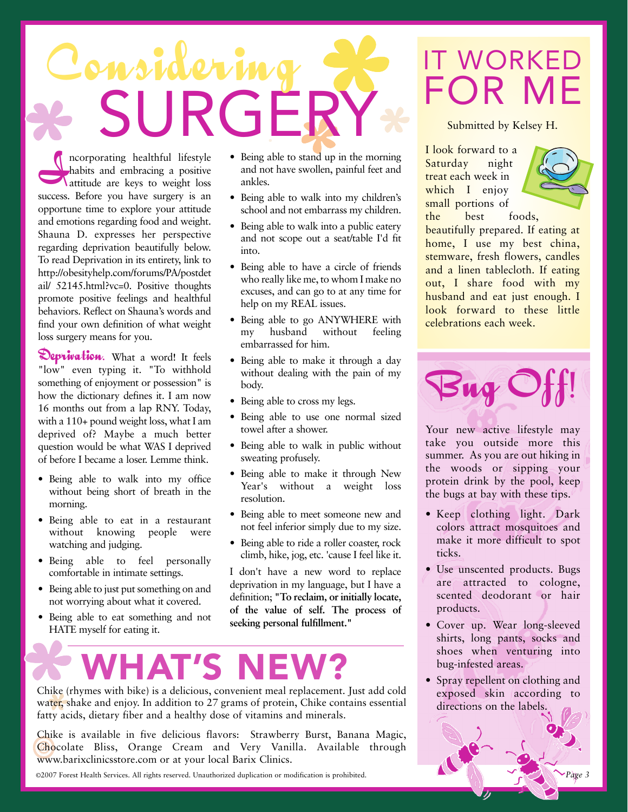

Incorporating healthful lifestyle<br>
habits and embracing a positive<br>
attitude are keys to weight loss<br>
success Before you have surgery is an habits and embracing a positive success. Before you have surgery is an opportune time to explore your attitude and emotions regarding food and weight. Shauna D. expresses her perspective regarding deprivation beautifully below. To read Deprivation in its entirety, link to http://obesityhelp.com/forums/PA/postdet ail/ 52145.html?vc=0. Positive thoughts promote positive feelings and healthful behaviors. Reflect on Shauna's words and find your own definition of what weight loss surgery means for you.

Deprivation. What a word! It feels "low" even typing it. "To withhold something of enjoyment or possession" is how the dictionary defines it. I am now 16 months out from a lap RNY. Today, with a 110+ pound weight loss, what I am deprived of? Maybe a much better question would be what WAS I deprived of before I became a loser. Lemme think.

- Being able to walk into my office without being short of breath in the morning.
- Being able to eat in a restaurant without knowing people were watching and judging.
- Being able to feel personally comfortable in intimate settings.
- Being able to just put something on and not worrying about what it covered.
- Being able to eat something and not HATE myself for eating it.
- Being able to stand up in the morning and not have swollen, painful feet and ankles.
- Being able to walk into my children's school and not embarrass my children.
- Being able to walk into a public eatery and not scope out a seat/table I'd fit into.
- Being able to have a circle of friends who really like me, to whom I make no excuses, and can go to at any time for help on my REAL issues.
- Being able to go ANYWHERE with my husband without feeling embarrassed for him.
- Being able to make it through a day without dealing with the pain of my body.
- Being able to cross my legs.
- Being able to use one normal sized towel after a shower.
- Being able to walk in public without sweating profusely.
- Being able to make it through New Year's without a weight loss resolution.
- Being able to meet someone new and not feel inferior simply due to my size.
- Being able to ride a roller coaster, rock climb, hike, jog, etc. 'cause I feel like it.

I don't have a new word to replace deprivation in my language, but I have a definition; **"To reclaim, or initially locate, of the value of self. The process of seeking personal fulfillment."** 

## **WHAT'S NEW?**

Chike (rhymes with bike) is a delicious, convenient meal replacement. Just add cold water, shake and enjoy. In addition to 27 grams of protein, Chike contains essential fatty acids, dietary fiber and a healthy dose of vitamins and minerals.

Chike is available in five delicious flavors: Strawberry Burst, Banana Magic, Chocolate Bliss, Orange Cream and Very Vanilla. Available through www.barixclinicsstore.com or at your local Barix Clinics.

©2007 Forest Health Services. All rights reserved. Unauthorized duplication or modification is prohibited. *Page 3*

### IT WORKED FOR ME

Submitted by Kelsey H.

I look forward to a Saturday night treat each week in which I enjoy small portions of the best foods,



beautifully prepared. If eating at home, I use my best china, stemware, fresh flowers, candles and a linen tablecloth. If eating out, I share food with my husband and eat just enough. I look forward to these little celebrations each week.



Your new active lifestyle may take you outside more this summer. As you are out hiking in the woods or sipping your protein drink by the pool, keep the bugs at bay with these tips.

- Keep clothing light. Dark colors attract mosquitoes and make it more difficult to spot ticks.
- Use unscented products. Bugs are attracted to cologne, scented deodorant or hair products.
- Cover up. Wear long-sleeved shirts, long pants, socks and shoes when venturing into bug-infested areas.
- Spray repellent on clothing and exposed skin according to directions on the labels.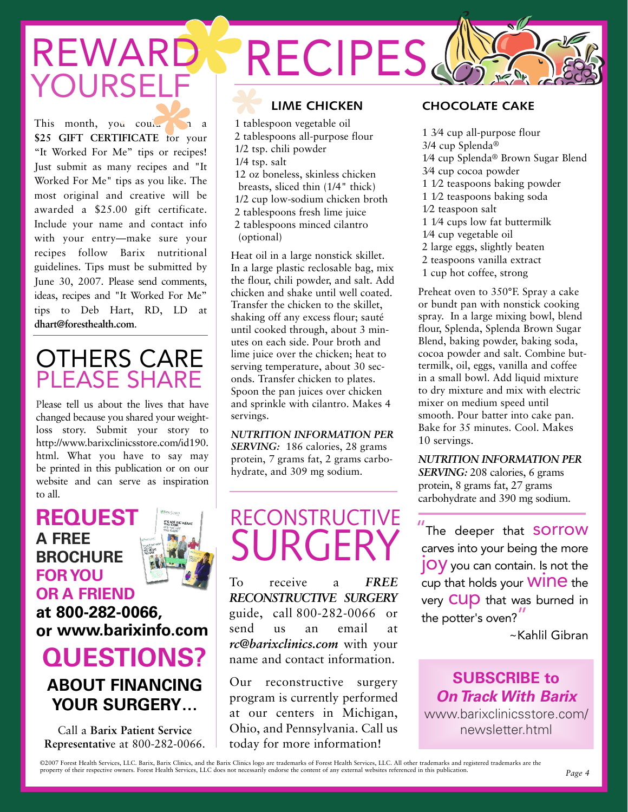# REWARD<br>YOURSELF

This month, you could a **\$25 GIFT CERTIFICATE** for your "It Worked For Me" tips or recipes! Just submit as many recipes and "It Worked For Me" tips as you like. The most original and creative will be awarded a \$25.00 gift certificate. Include your name and contact info with your entry—make sure your recipes follow Barix nutritional guidelines. Tips must be submitted by June 30, 2007. Please send comments, ideas, recipes and "It Worked For Me" tips to Deb Hart, RD, LD at **dhart@foresthealth.com**.

#### OTHERS CARE PLEASE SHARE

Please tell us about the lives that have changed because you shared your weightloss story. Submit your story to http://www.barixclinicsstore.com/id190. html. What you have to say may be printed in this publication or on our website and can serve as inspiration to all.

#### **REQUEST A FREE BROCHURE FOR YOU OR A FRIEND at 800-282-0066, or www.barixinfo.com**

#### **QUESTIONS? ABOUT FINANCING YOUR SURGERY…**

Call a **Barix Patient Service Representativ**e at 800-282-0066.

## RECIPES.

#### **LIME CHICKEN**

1 tablespoon vegetable oil 2 tablespoons all-purpose flour 1/2 tsp. chili powder 1/4 tsp. salt 12 oz boneless, skinless chicken breasts, sliced thin (1/4" thick) 1/2 cup low-sodium chicken broth 2 tablespoons fresh lime juice 2 tablespoons minced cilantro (optional)

Heat oil in a large nonstick skillet. In a large plastic reclosable bag, mix the flour, chili powder, and salt. Add chicken and shake until well coated. Transfer the chicken to the skillet, shaking off any excess flour; sauté until cooked through, about 3 minutes on each side. Pour broth and lime juice over the chicken; heat to serving temperature, about 30 seconds. Transfer chicken to plates. Spoon the pan juices over chicken and sprinkle with cilantro. Makes 4 servings.

*NUTRITION INFORMATION PER SERVING:* 186 calories, 28 grams protein, 7 grams fat, 2 grams carbohydrate, and 309 mg sodium.

## RECONSTRUCTIVE SURGE<sup>R</sup>

To receive a *FREE RECONSTRUCTIVE SURGERY* guide, call 800-282-0066 or send us an email at *rc@barixclinics.com* with your name and contact information.

Our reconstructive surgery program is currently performed at our centers in Michigan, Ohio, and Pennsylvania. Call us today for more information!

#### **CHOCOLATE CAKE**

1 3⁄4 cup all-purpose flour 3/4 cup Splenda® 1⁄4 cup Splenda® Brown Sugar Blend 3⁄4 cup cocoa powder 1 1⁄2 teaspoons baking powder 1 1⁄2 teaspoons baking soda 1⁄2 teaspoon salt 1 1⁄4 cups low fat buttermilk 1⁄4 cup vegetable oil 2 large eggs, slightly beaten 2 teaspoons vanilla extract 1 cup hot coffee, strong

Preheat oven to 350°F. Spray a cake or bundt pan with nonstick cooking spray. In a large mixing bowl, blend flour, Splenda, Splenda Brown Sugar Blend, baking powder, baking soda, cocoa powder and salt. Combine buttermilk, oil, eggs, vanilla and coffee in a small bowl. Add liquid mixture to dry mixture and mix with electric mixer on medium speed until smooth. Pour batter into cake pan. Bake for 35 minutes. Cool. Makes 10 servings.

*NUTRITION INFORMATION PER SERVING:* 208 calories, 6 grams protein, 8 grams fat, 27 grams carbohydrate and 390 mg sodium.

"The deeper that SOTTOW carves into your being the more joy you can contain. Is not the cup that holds your **WINE** the very CUD that was burned in the potter's oven? "

~Kahlil Gibran

**SUBSCRIBE to On Track With Barix** www.barixclinicsstore.com/ newsletter.html

©2007 Forest Health Services, LLC. Barix, Barix Clinics, and the Barix Clinics logo are trademarks of Forest Health Services, LLC. All other trademarks and registered trademarks are the<br>property of their respective owners.